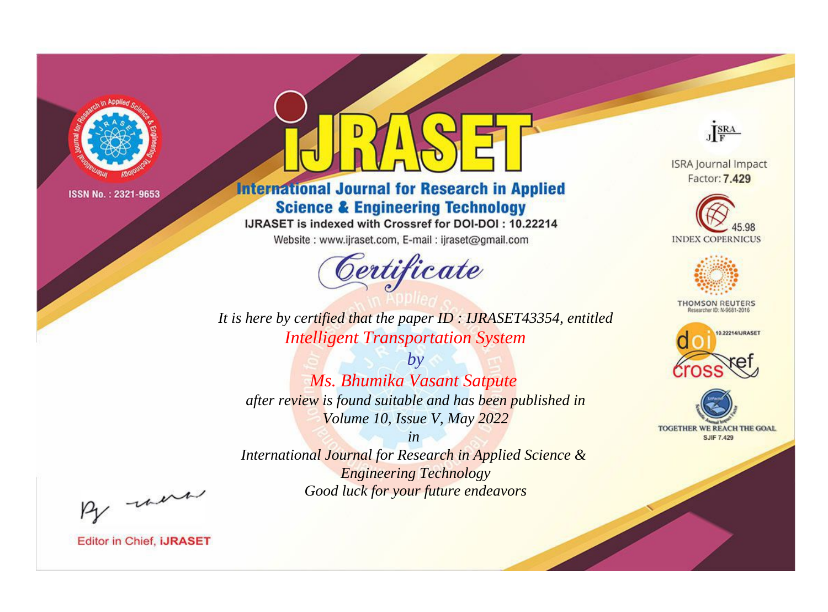

# **International Journal for Research in Applied Science & Engineering Technology**

IJRASET is indexed with Crossref for DOI-DOI: 10.22214

Website: www.ijraset.com, E-mail: ijraset@gmail.com



JERA

**ISRA Journal Impact** Factor: 7.429





**THOMSON REUTERS** 



TOGETHER WE REACH THE GOAL **SJIF 7.429** 

*It is here by certified that the paper ID : IJRASET43354, entitled Intelligent Transportation System*

*by Ms. Bhumika Vasant Satpute after review is found suitable and has been published in Volume 10, Issue V, May 2022*

*in* 

*International Journal for Research in Applied Science & Engineering Technology Good luck for your future endeavors*

By morn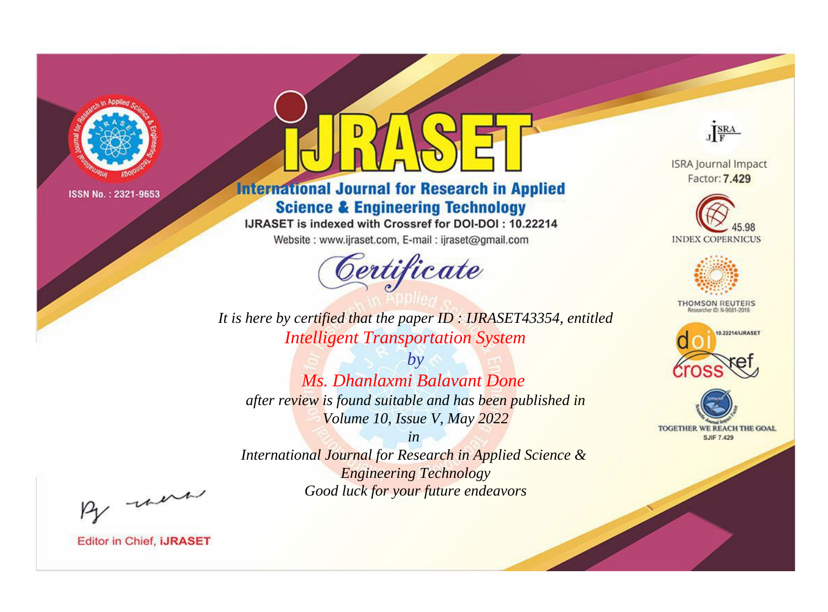

# **International Journal for Research in Applied Science & Engineering Technology**

IJRASET is indexed with Crossref for DOI-DOI: 10.22214

Website: www.ijraset.com, E-mail: ijraset@gmail.com



JERA

**ISRA Journal Impact** Factor: 7.429





**THOMSON REUTERS** 



TOGETHER WE REACH THE GOAL **SJIF 7.429** 

*It is here by certified that the paper ID : IJRASET43354, entitled Intelligent Transportation System*

*by Ms. Dhanlaxmi Balavant Done after review is found suitable and has been published in Volume 10, Issue V, May 2022*

*in* 

*International Journal for Research in Applied Science & Engineering Technology Good luck for your future endeavors*

By morn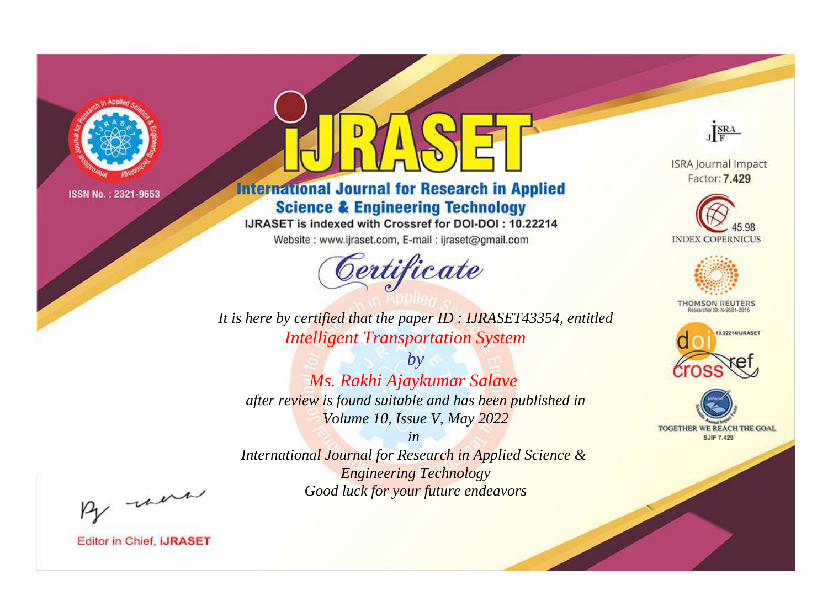

# **International Journal for Research in Applied Science & Engineering Technology**

IJRASET is indexed with Crossref for DOI-DOI: 10.22214

Website: www.ijraset.com, E-mail: ijraset@gmail.com



JERA

**ISRA Journal Impact** Factor: 7.429





**THOMSON REUTERS** 



TOGETHER WE REACH THE GOAL **SJIF 7.429** 

*It is here by certified that the paper ID : IJRASET43354, entitled Intelligent Transportation System*

*by Ms. Rakhi Ajaykumar Salave after review is found suitable and has been published in Volume 10, Issue V, May 2022*

*in* 

*International Journal for Research in Applied Science & Engineering Technology Good luck for your future endeavors*

By morn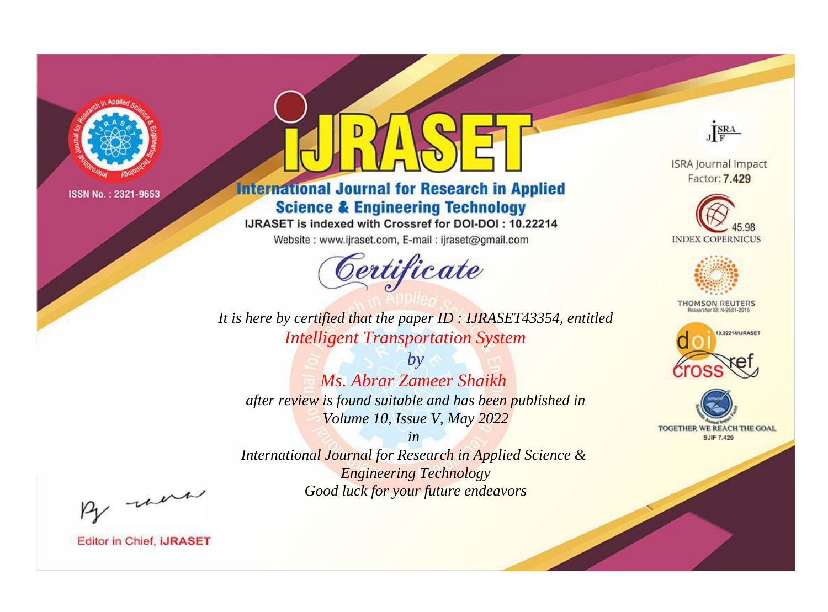

# **International Journal for Research in Applied Science & Engineering Technology**

IJRASET is indexed with Crossref for DOI-DOI: 10.22214

Website: www.ijraset.com, E-mail: ijraset@gmail.com



JERA

**ISRA Journal Impact** Factor: 7.429





**THOMSON REUTERS** 



TOGETHER WE REACH THE GOAL **SJIF 7.429** 

*It is here by certified that the paper ID : IJRASET43354, entitled Intelligent Transportation System*

*by Ms. Abrar Zameer Shaikh after review is found suitable and has been published in Volume 10, Issue V, May 2022*

*in* 

*International Journal for Research in Applied Science & Engineering Technology Good luck for your future endeavors*

By morn